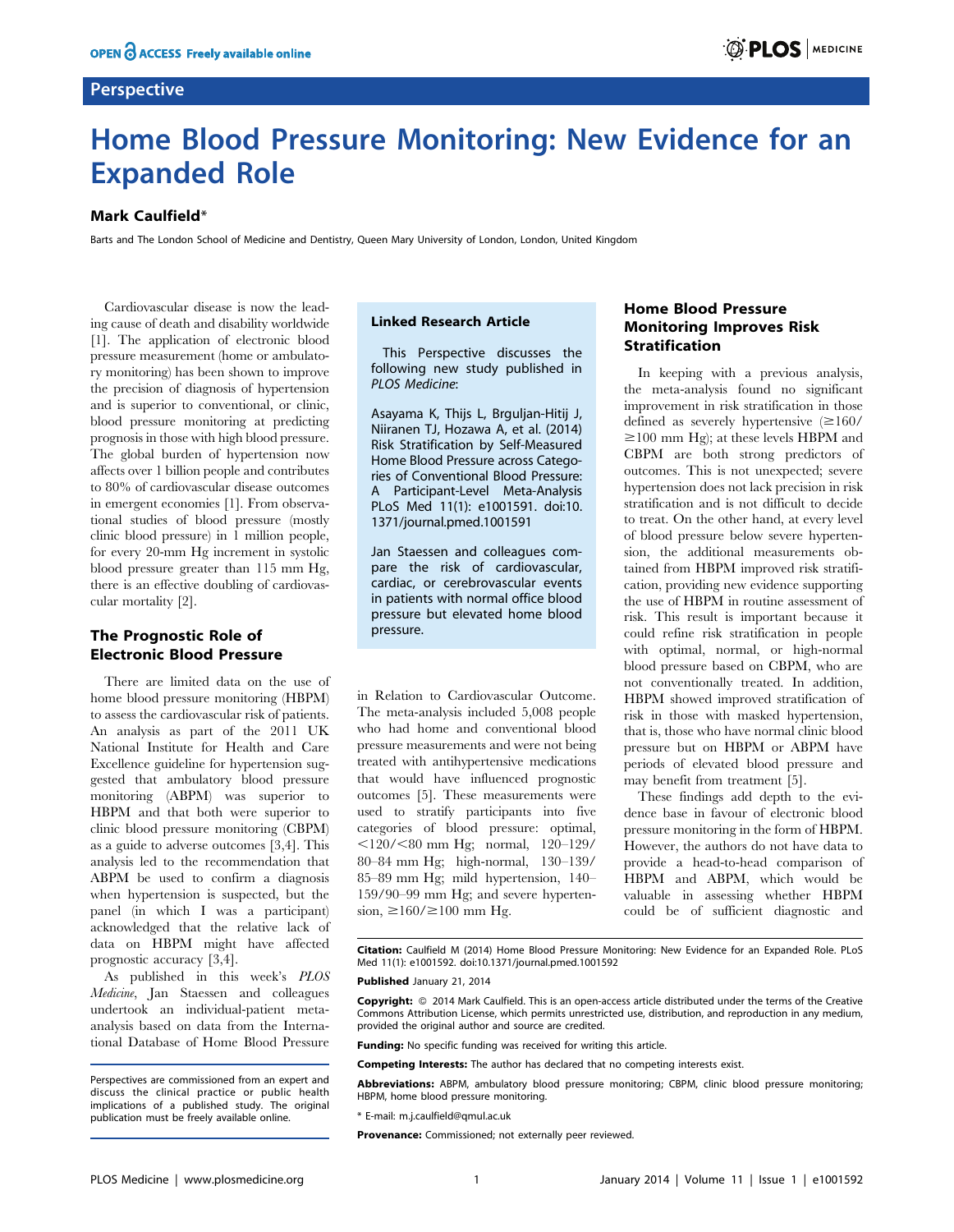# **Perspective**

# Home Blood Pressure Monitoring: New Evidence for an Expanded Role

## Mark Caulfield\*

Barts and The London School of Medicine and Dentistry, Queen Mary University of London, London, United Kingdom

Cardiovascular disease is now the leading cause of death and disability worldwide [1]. The application of electronic blood pressure measurement (home or ambulatory monitoring) has been shown to improve the precision of diagnosis of hypertension and is superior to conventional, or clinic, blood pressure monitoring at predicting prognosis in those with high blood pressure. The global burden of hypertension now affects over 1 billion people and contributes to 80% of cardiovascular disease outcomes in emergent economies [1]. From observational studies of blood pressure (mostly clinic blood pressure) in 1 million people, for every 20-mm Hg increment in systolic blood pressure greater than 115 mm Hg, there is an effective doubling of cardiovascular mortality [2].

# The Prognostic Role of Electronic Blood Pressure

There are limited data on the use of home blood pressure monitoring (HBPM) to assess the cardiovascular risk of patients. An analysis as part of the 2011 UK National Institute for Health and Care Excellence guideline for hypertension suggested that ambulatory blood pressure monitoring (ABPM) was superior to HBPM and that both were superior to clinic blood pressure monitoring (CBPM) as a guide to adverse outcomes [3,4]. This analysis led to the recommendation that ABPM be used to confirm a diagnosis when hypertension is suspected, but the panel (in which I was a participant) acknowledged that the relative lack of data on HBPM might have affected prognostic accuracy [3,4].

As published in this week's PLOS Medicine, Jan Staessen and colleagues undertook an individual-patient metaanalysis based on data from the International Database of Home Blood Pressure

### Linked Research Article

This Perspective discusses the following new study published in PLOS Medicine:

Asayama K, Thijs L, Brguljan-Hitij J, Niiranen TJ, Hozawa A, et al. (2014) Risk Stratification by Self-Measured Home Blood Pressure across Categories of Conventional Blood Pressure: A Participant-Level Meta-Analysis PLoS Med 11(1): e1001591. [doi:10.](http://www.plosmedicine.org/article/info:doi/10.1371/journal.pmed.1001591) [1371/journal.pmed.1001591](http://www.plosmedicine.org/article/info:doi/10.1371/journal.pmed.1001591)

Jan Staessen and colleagues compare the risk of cardiovascular, cardiac, or cerebrovascular events in patients with normal office blood pressure but elevated home blood pressure.

in Relation to Cardiovascular Outcome. The meta-analysis included 5,008 people who had home and conventional blood pressure measurements and were not being treated with antihypertensive medications that would have influenced prognostic outcomes [5]. These measurements were used to stratify participants into five categories of blood pressure: optimal,  $\leq$ 120/ $\leq$ 80 mm Hg; normal, 120–129/ 80–84 mm Hg; high-normal, 130–139/ 85–89 mm Hg; mild hypertension, 140– 159/90–99 mm Hg; and severe hypertension,  $\geq 160 / \geq 100$  mm Hg.

# Home Blood Pressure Monitoring Improves Risk Stratification

In keeping with a previous analysis, the meta-analysis found no significant improvement in risk stratification in those defined as severely hypertensive  $(\geq 160/$  $\geq$ 100 mm Hg); at these levels HBPM and CBPM are both strong predictors of outcomes. This is not unexpected; severe hypertension does not lack precision in risk stratification and is not difficult to decide to treat. On the other hand, at every level of blood pressure below severe hypertension, the additional measurements obtained from HBPM improved risk stratification, providing new evidence supporting the use of HBPM in routine assessment of risk. This result is important because it could refine risk stratification in people with optimal, normal, or high-normal blood pressure based on CBPM, who are not conventionally treated. In addition, HBPM showed improved stratification of risk in those with masked hypertension, that is, those who have normal clinic blood pressure but on HBPM or ABPM have periods of elevated blood pressure and may benefit from treatment [5].

These findings add depth to the evidence base in favour of electronic blood pressure monitoring in the form of HBPM. However, the authors do not have data to provide a head-to-head comparison of HBPM and ABPM, which would be valuable in assessing whether HBPM could be of sufficient diagnostic and

Citation: Caulfield M (2014) Home Blood Pressure Monitoring: New Evidence for an Expanded Role. PLoS Med 11(1): e1001592. doi:10.1371/journal.pmed.1001592

#### Published January 21, 2014

Copyright: © 2014 Mark Caulfield. This is an open-access article distributed under the terms of the Creative Commons Attribution License, which permits unrestricted use, distribution, and reproduction in any medium, provided the original author and source are credited.

Funding: No specific funding was received for writing this article.

Competing Interests: The author has declared that no competing interests exist.

Abbreviations: ABPM, ambulatory blood pressure monitoring; CBPM, clinic blood pressure monitoring; HBPM, home blood pressure monitoring.

\* E-mail: m.j.caulfield@qmul.ac.uk

Provenance: Commissioned; not externally peer reviewed.

Perspectives are commissioned from an expert and discuss the clinical practice or public health implications of a published study. The original publication must be freely available online.